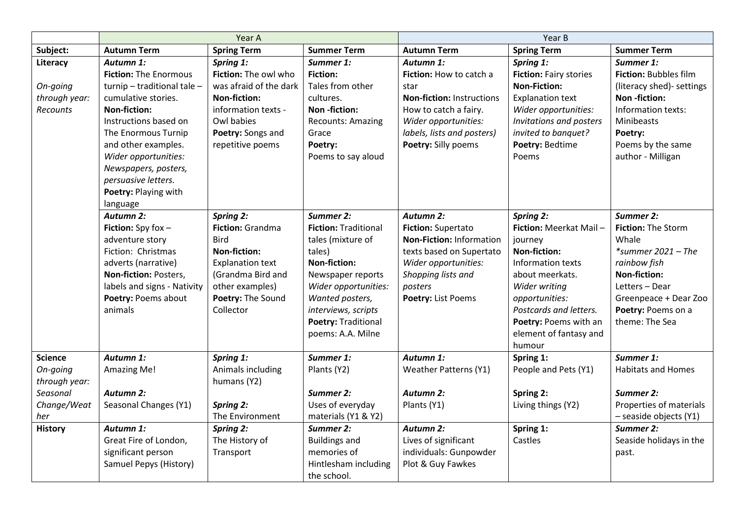|                                                                                                 | Year A                                                                                                                                                                                                                                                                                       |                                                                                                                                                                                 |                                                                                                                                                                                                                                   | Year B                                                                                                                                                                                 |                                                                                                                                                                                                                                                |                                                                                                                                                                                            |
|-------------------------------------------------------------------------------------------------|----------------------------------------------------------------------------------------------------------------------------------------------------------------------------------------------------------------------------------------------------------------------------------------------|---------------------------------------------------------------------------------------------------------------------------------------------------------------------------------|-----------------------------------------------------------------------------------------------------------------------------------------------------------------------------------------------------------------------------------|----------------------------------------------------------------------------------------------------------------------------------------------------------------------------------------|------------------------------------------------------------------------------------------------------------------------------------------------------------------------------------------------------------------------------------------------|--------------------------------------------------------------------------------------------------------------------------------------------------------------------------------------------|
| Subject:                                                                                        | <b>Autumn Term</b>                                                                                                                                                                                                                                                                           | <b>Spring Term</b>                                                                                                                                                              | <b>Summer Term</b>                                                                                                                                                                                                                | <b>Autumn Term</b>                                                                                                                                                                     | <b>Spring Term</b>                                                                                                                                                                                                                             | <b>Summer Term</b>                                                                                                                                                                         |
| Literacy<br>On-going<br>through year:<br>Recounts                                               | Autumn 1:<br><b>Fiction: The Enormous</b><br>turnip - traditional tale -<br>cumulative stories.<br><b>Non-fiction:</b><br>Instructions based on<br>The Enormous Turnip<br>and other examples.<br>Wider opportunities:<br>Newspapers, posters,<br>persuasive letters.<br>Poetry: Playing with | Spring 1:<br>Fiction: The owl who<br>was afraid of the dark<br><b>Non-fiction:</b><br>information texts -<br>Owl babies<br>Poetry: Songs and<br>repetitive poems                | Summer 1:<br><b>Fiction:</b><br>Tales from other<br>cultures.<br>Non-fiction:<br><b>Recounts: Amazing</b><br>Grace<br>Poetry:<br>Poems to say aloud                                                                               | Autumn 1:<br>Fiction: How to catch a<br>star<br><b>Non-fiction: Instructions</b><br>How to catch a fairy.<br>Wider opportunities:<br>labels, lists and posters)<br>Poetry: Silly poems | Spring 1:<br>Fiction: Fairy stories<br><b>Non-Fiction:</b><br><b>Explanation text</b><br>Wider opportunities:<br>Invitations and posters<br>invited to banquet?<br>Poetry: Bedtime<br>Poems                                                    | Summer 1:<br>Fiction: Bubbles film<br>(literacy shed)- settings<br>Non-fiction:<br>Information texts:<br>Minibeasts<br>Poetry:<br>Poems by the same<br>author - Milligan                   |
|                                                                                                 | language<br><b>Autumn 2:</b><br><b>Fiction:</b> Spy fox $-$<br>adventure story<br>Fiction: Christmas<br>adverts (narrative)<br>Non-fiction: Posters,<br>labels and signs - Nativity<br>Poetry: Poems about<br>animals                                                                        | <b>Spring 2:</b><br>Fiction: Grandma<br><b>Bird</b><br><b>Non-fiction:</b><br><b>Explanation text</b><br>(Grandma Bird and<br>other examples)<br>Poetry: The Sound<br>Collector | Summer 2:<br><b>Fiction: Traditional</b><br>tales (mixture of<br>tales)<br><b>Non-fiction:</b><br>Newspaper reports<br>Wider opportunities:<br>Wanted posters,<br>interviews, scripts<br>Poetry: Traditional<br>poems: A.A. Milne | <b>Autumn 2:</b><br><b>Fiction: Supertato</b><br>Non-Fiction: Information<br>texts based on Supertato<br>Wider opportunities:<br>Shopping lists and<br>posters<br>Poetry: List Poems   | <b>Spring 2:</b><br>Fiction: Meerkat Mail-<br>journey<br><b>Non-fiction:</b><br>Information texts<br>about meerkats.<br>Wider writing<br>opportunities:<br>Postcards and letters.<br>Poetry: Poems with an<br>element of fantasy and<br>humour | Summer 2:<br>Fiction: The Storm<br>Whale<br>*summer $2021 - The$<br>rainbow fish<br><b>Non-fiction:</b><br>Letters - Dear<br>Greenpeace + Dear Zoo<br>Poetry: Poems on a<br>theme: The Sea |
| <b>Science</b><br>On-going<br>through year:<br>Seasonal<br>Change/Weat<br>her<br><b>History</b> | Autumn 1:<br><b>Amazing Me!</b><br><b>Autumn 2:</b><br>Seasonal Changes (Y1)<br>Autumn 1:<br>Great Fire of London,                                                                                                                                                                           | Spring 1:<br>Animals including<br>humans (Y2)<br><b>Spring 2:</b><br>The Environment<br><b>Spring 2:</b><br>The History of                                                      | Summer 1:<br>Plants (Y2)<br>Summer 2:<br>Uses of everyday<br>materials (Y1 & Y2)<br>Summer 2:<br><b>Buildings and</b>                                                                                                             | Autumn 1:<br><b>Weather Patterns (Y1)</b><br><b>Autumn 2:</b><br>Plants (Y1)<br>Autumn 2:<br>Lives of significant                                                                      | Spring 1:<br>People and Pets (Y1)<br>Spring 2:<br>Living things (Y2)<br>Spring 1:<br>Castles                                                                                                                                                   | Summer 1:<br><b>Habitats and Homes</b><br><b>Summer 2:</b><br>Properties of materials<br>- seaside objects (Y1)<br>Summer 2:<br>Seaside holidays in the                                    |
|                                                                                                 | significant person<br>Samuel Pepys (History)                                                                                                                                                                                                                                                 | Transport                                                                                                                                                                       | memories of<br>Hintlesham including<br>the school.                                                                                                                                                                                | individuals: Gunpowder<br>Plot & Guy Fawkes                                                                                                                                            |                                                                                                                                                                                                                                                | past.                                                                                                                                                                                      |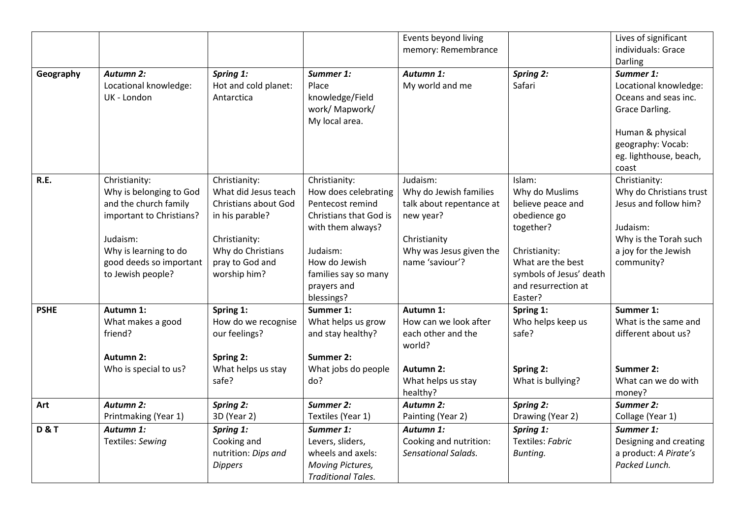|                |                          |                      |                           | Events beyond living         |                         | Lives of significant    |
|----------------|--------------------------|----------------------|---------------------------|------------------------------|-------------------------|-------------------------|
|                |                          |                      |                           | memory: Remembrance          |                         | individuals: Grace      |
|                |                          |                      |                           |                              |                         | Darling                 |
| Geography      | <b>Autumn 2:</b>         | Spring 1:            | Summer 1:                 | Autumn 1:                    | <b>Spring 2:</b>        | Summer 1:               |
|                | Locational knowledge:    | Hot and cold planet: | Place                     | My world and me              | Safari                  | Locational knowledge:   |
|                | UK - London              | Antarctica           | knowledge/Field           |                              |                         | Oceans and seas inc.    |
|                |                          |                      | work/ Mapwork/            |                              |                         | Grace Darling.          |
|                |                          |                      | My local area.            |                              |                         |                         |
|                |                          |                      |                           |                              |                         | Human & physical        |
|                |                          |                      |                           |                              |                         | geography: Vocab:       |
|                |                          |                      |                           |                              |                         | eg. lighthouse, beach,  |
|                |                          |                      |                           |                              |                         | coast                   |
| R.E.           | Christianity:            | Christianity:        | Christianity:             | Judaism:                     | Islam:                  | Christianity:           |
|                | Why is belonging to God  | What did Jesus teach | How does celebrating      | Why do Jewish families       | Why do Muslims          | Why do Christians trust |
|                | and the church family    | Christians about God | Pentecost remind          | talk about repentance at     | believe peace and       | Jesus and follow him?   |
|                | important to Christians? | in his parable?      | Christians that God is    | new year?                    | obedience go            |                         |
|                |                          |                      | with them always?         |                              | together?               | Judaism:                |
|                | Judaism:                 | Christianity:        |                           | Christianity                 |                         | Why is the Torah such   |
|                | Why is learning to do    | Why do Christians    | Judaism:                  | Why was Jesus given the      | Christianity:           | a joy for the Jewish    |
|                | good deeds so important  | pray to God and      | How do Jewish             | name 'saviour'?              | What are the best       | community?              |
|                | to Jewish people?        | worship him?         | families say so many      |                              | symbols of Jesus' death |                         |
|                |                          |                      | prayers and               |                              | and resurrection at     |                         |
|                |                          |                      | blessings?                |                              | Easter?                 |                         |
| <b>PSHE</b>    | Autumn 1:                | Spring 1:            | Summer 1:                 | Autumn 1:                    | Spring 1:               | Summer 1:               |
|                | What makes a good        | How do we recognise  | What helps us grow        | How can we look after        | Who helps keep us       | What is the same and    |
|                | friend?                  | our feelings?        | and stay healthy?         | each other and the           | safe?                   | different about us?     |
|                |                          |                      |                           | world?                       |                         |                         |
|                | <b>Autumn 2:</b>         | Spring 2:            | Summer 2:                 |                              |                         |                         |
|                | Who is special to us?    | What helps us stay   | What jobs do people       | Autumn 2:                    | Spring 2:               | Summer 2:               |
|                |                          | safe?                | do?                       | What helps us stay           | What is bullying?       | What can we do with     |
|                | <b>Autumn 2:</b>         | <b>Spring 2:</b>     | Summer 2:                 | healthy?<br><b>Autumn 2:</b> | <b>Spring 2:</b>        | money?<br>Summer 2:     |
| Art            |                          |                      |                           |                              |                         |                         |
|                | Printmaking (Year 1)     | 3D (Year 2)          | Textiles (Year 1)         | Painting (Year 2)            | Drawing (Year 2)        | Collage (Year 1)        |
| <b>D&amp;T</b> | Autumn 1:                | Spring 1:            | Summer 1:                 | Autumn 1:                    | Spring 1:               | Summer 1:               |
|                | Textiles: Sewing         | Cooking and          | Levers, sliders,          | Cooking and nutrition:       | Textiles: Fabric        | Designing and creating  |
|                |                          | nutrition: Dips and  | wheels and axels:         | Sensational Salads.          | Bunting.                | a product: A Pirate's   |
|                |                          | <b>Dippers</b>       | <b>Moving Pictures,</b>   |                              |                         | Packed Lunch.           |
|                |                          |                      | <b>Traditional Tales.</b> |                              |                         |                         |